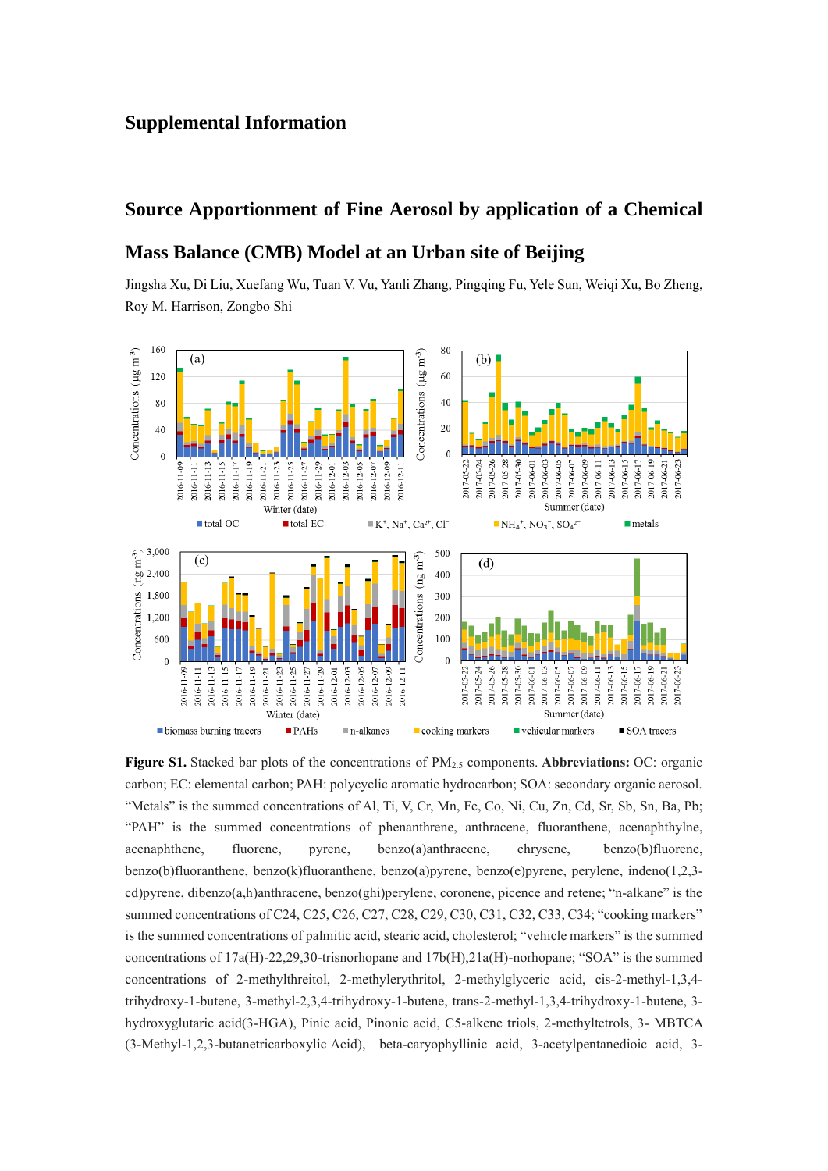## **Supplemental Information**

## **Source Apportionment of Fine Aerosol by application of a Chemical**

## **Mass Balance (CMB) Model at an Urban site of Beijing**

Jingsha Xu, Di Liu, Xuefang Wu, Tuan V. Vu, Yanli Zhang, Pingqing Fu, Yele Sun, Weiqi Xu, Bo Zheng, Roy M. Harrison, Zongbo Shi



**Figure S1.** Stacked bar plots of the concentrations of PM2.5 components. **Abbreviations:** OC: organic carbon; EC: elemental carbon; PAH: polycyclic aromatic hydrocarbon; SOA: secondary organic aerosol. "Metals" is the summed concentrations of Al, Ti, V, Cr, Mn, Fe, Co, Ni, Cu, Zn, Cd, Sr, Sb, Sn, Ba, Pb; "PAH" is the summed concentrations of phenanthrene, anthracene, fluoranthene, acenaphthylne, acenaphthene, fluorene, pyrene, benzo(a)anthracene, chrysene, benzo(b)fluorene, benzo(b)fluoranthene, benzo(k)fluoranthene, benzo(a)pyrene, benzo(e)pyrene, perylene, indeno(1,2,3 cd)pyrene, dibenzo(a,h)anthracene, benzo(ghi)perylene, coronene, picence and retene; "n-alkane" is the summed concentrations of C24, C25, C26, C27, C28, C29, C30, C31, C32, C33, C34; "cooking markers" is the summed concentrations of palmitic acid, stearic acid, cholesterol; "vehicle markers" is the summed concentrations of 17a(H)-22,29,30-trisnorhopane and 17b(H),21a(H)-norhopane; "SOA" is the summed concentrations of 2-methylthreitol, 2-methylerythritol, 2-methylglyceric acid, cis-2-methyl-1,3,4 trihydroxy-1-butene, 3-methyl-2,3,4-trihydroxy-1-butene, trans-2-methyl-1,3,4-trihydroxy-1-butene, 3 hydroxyglutaric acid(3-HGA), Pinic acid, Pinonic acid, C5-alkene triols, 2-methyltetrols, 3- MBTCA (3-Methyl-1,2,3-butanetricarboxylic Acid), beta-caryophyllinic acid, 3-acetylpentanedioic acid, 3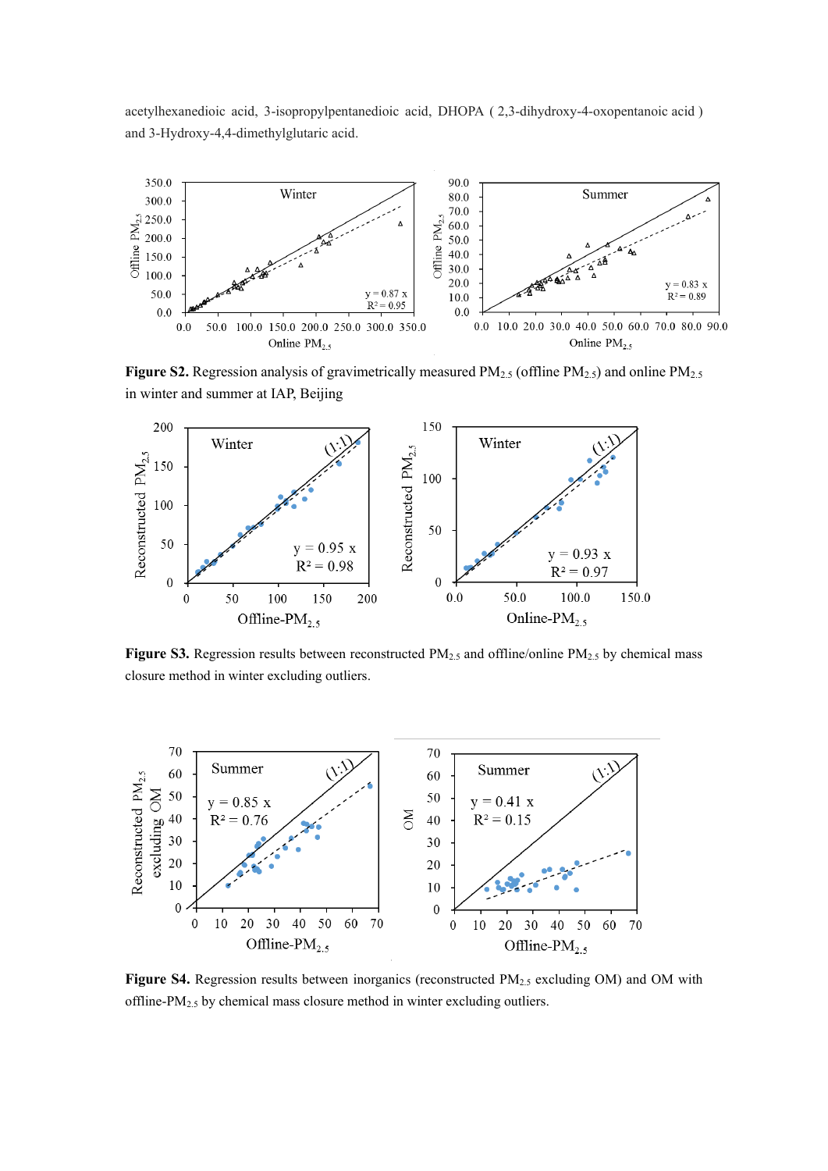acetylhexanedioic acid, 3-isopropylpentanedioic acid, DHOPA ( 2,3-dihydroxy-4-oxopentanoic acid ) and 3-Hydroxy-4,4-dimethylglutaric acid.



**Figure S2.** Regression analysis of gravimetrically measured PM<sub>2.5</sub> (offline PM<sub>2.5</sub>) and online PM<sub>2.5</sub> in winter and summer at IAP, Beijing



**Figure S3.** Regression results between reconstructed PM2.5 and offline/online PM2.5 by chemical mass closure method in winter excluding outliers.



Figure S4. Regression results between inorganics (reconstructed PM<sub>2.5</sub> excluding OM) and OM with offline-PM2.5 by chemical mass closure method in winter excluding outliers.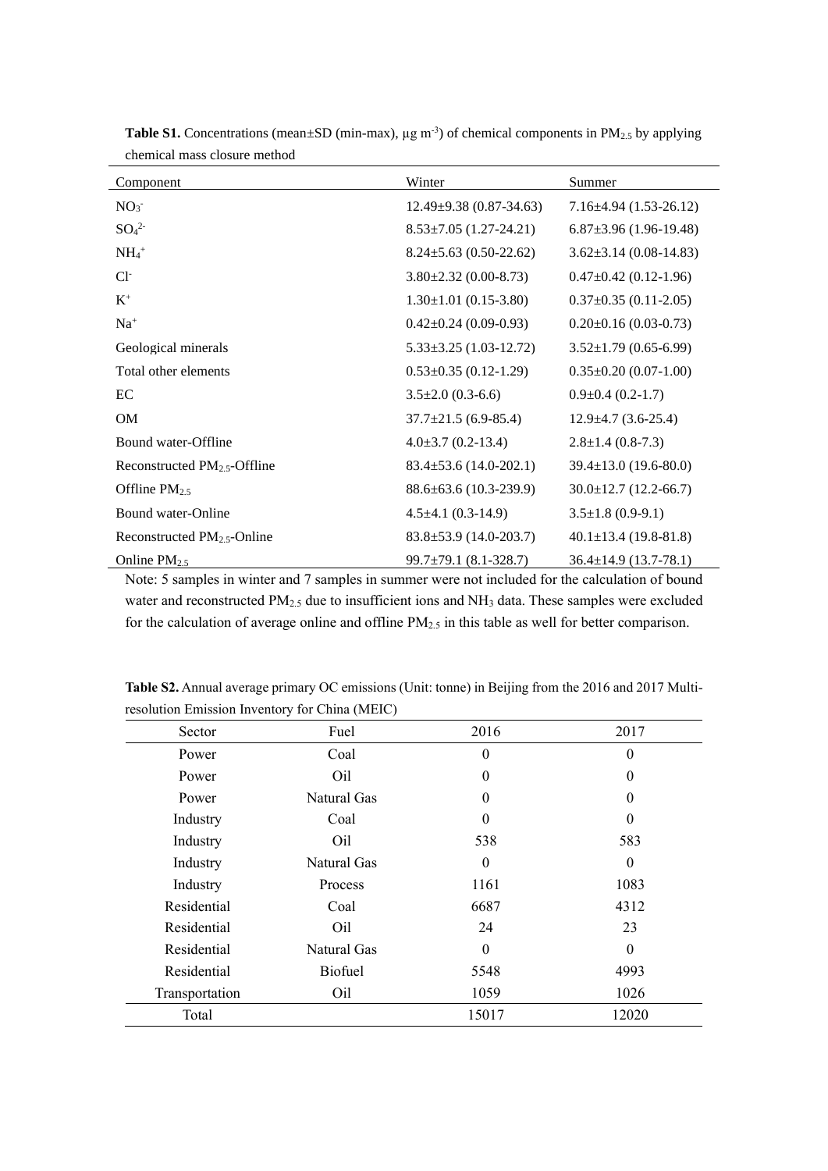| <b>Component</b>                 | Winter                       | Summer                       |  |
|----------------------------------|------------------------------|------------------------------|--|
| NO <sub>3</sub>                  | $12.49\pm9.38(0.87-34.63)$   | $7.16\pm4.94(1.53-26.12)$    |  |
| SO <sub>4</sub> <sup>2</sup>     | $8.53\pm7.05$ (1.27-24.21)   | $6.87\pm3.96(1.96-19.48)$    |  |
| $NH_4$ <sup>+</sup>              | $8.24 \pm 5.63$ (0.50-22.62) | $3.62 \pm 3.14$ (0.08-14.83) |  |
| $Cl-$                            | $3.80\pm2.32$ (0.00-8.73)    | $0.47 \pm 0.42$ (0.12-1.96)  |  |
| $\mathbf{K}^+$                   | $1.30 \pm 1.01$ (0.15-3.80)  | $0.37 \pm 0.35$ (0.11-2.05)  |  |
| $Na+$                            | $0.42\pm0.24$ (0.09-0.93)    | $0.20 \pm 0.16$ (0.03-0.73)  |  |
| Geological minerals              | $5.33\pm3.25$ (1.03-12.72)   | $3.52 \pm 1.79$ (0.65-6.99)  |  |
| Total other elements             | $0.53 \pm 0.35$ (0.12-1.29)  | $0.35 \pm 0.20$ (0.07-1.00)  |  |
| EC                               | $3.5 \pm 2.0$ (0.3-6.6)      | $0.9\pm0.4(0.2-1.7)$         |  |
| <b>OM</b>                        | $37.7 \pm 21.5$ (6.9-85.4)   | $12.9\pm4.7(3.6-25.4)$       |  |
| Bound water-Offline              | $4.0\pm3.7(0.2-13.4)$        | $2.8 \pm 1.4$ (0.8-7.3)      |  |
| Reconstructed $PM2.5$ -Offline   | $83.4 \pm 53.6$ (14.0-202.1) | $39.4 \pm 13.0$ (19.6-80.0)  |  |
| Offline $PM_{2.5}$               | $88.6\pm 63.6$ (10.3-239.9)  | $30.0 \pm 12.7$ (12.2-66.7)  |  |
| Bound water-Online               | $4.5 \pm 4.1$ (0.3-14.9)     | $3.5 \pm 1.8$ (0.9-9.1)      |  |
| Reconstructed $PM_{2.5}$ -Online | $83.8 \pm 53.9$ (14.0-203.7) | $40.1 \pm 13.4$ (19.8-81.8)  |  |
| Online $PM_{2.5}$                | $99.7 \pm 79.1$ (8.1-328.7)  | $36.4 \pm 14.9$ (13.7-78.1)  |  |

**Table S1.** Concentrations (mean $\pm$ SD (min-max),  $\mu$ g m<sup>-3</sup>) of chemical components in PM<sub>2.5</sub> by applying chemical mass closure method

Note: 5 samples in winter and 7 samples in summer were not included for the calculation of bound water and reconstructed PM<sub>2.5</sub> due to insufficient ions and NH<sub>3</sub> data. These samples were excluded for the calculation of average online and offline PM<sub>2.5</sub> in this table as well for better comparison.

| Sector         | Fuel             | 2016             | 2017             |  |
|----------------|------------------|------------------|------------------|--|
| Power          | Coal             | $\theta$         | $\theta$         |  |
| Power          | Oil              | $\theta$         | 0                |  |
| Power          | Natural Gas      | $\theta$         | $\Omega$         |  |
| Industry       | Coal<br>$\theta$ |                  | $\theta$         |  |
| Industry       | Oil              |                  | 583              |  |
| Industry       | Natural Gas      | $\boldsymbol{0}$ | $\boldsymbol{0}$ |  |
| Industry       | Process          | 1161             | 1083             |  |
| Residential    | Coal             | 6687             | 4312             |  |
| Residential    | Oil              | 24               | 23               |  |
| Residential    | Natural Gas      | $\theta$         | $\theta$         |  |
| Residential    | <b>Biofuel</b>   | 5548             | 4993             |  |
| Transportation | Oil              | 1059             | 1026             |  |
| Total          |                  | 15017            | 12020            |  |

**Table S2.** Annual average primary OC emissions (Unit: tonne) in Beijing from the 2016 and 2017 Multiresolution Emission Inventory for China (MEIC)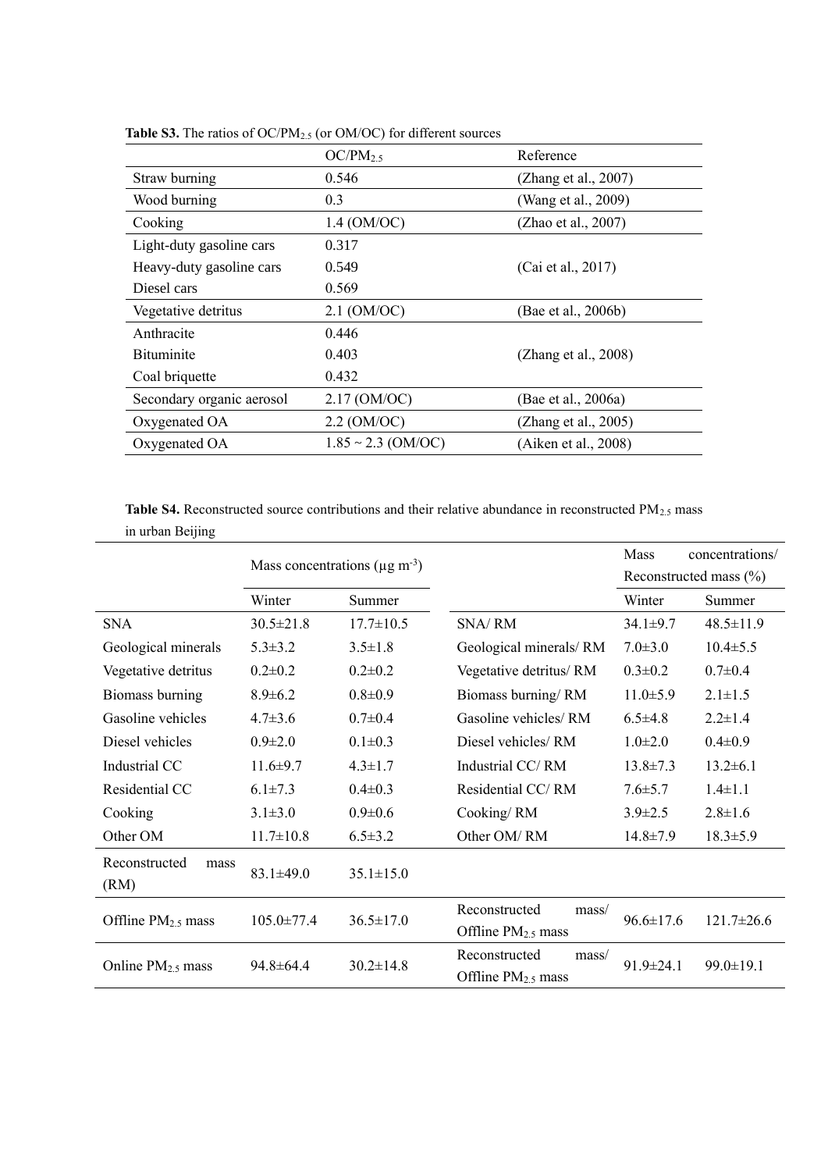|                           | $OC/PM_{2.5}$           | Reference               |
|---------------------------|-------------------------|-------------------------|
| Straw burning             | 0.546                   | (Zhang et al., 2007)    |
| Wood burning              | 0.3                     | (Wang et al., 2009)     |
| Cooking                   | $1.4 \text{ (OM/OC)}$   | (Zhao et al., 2007)     |
| Light-duty gasoline cars  | 0.317                   |                         |
| Heavy-duty gasoline cars  | 0.549                   | (Cai et al., 2017)      |
| Diesel cars               | 0.569                   |                         |
| Vegetative detritus       | $2.1 \text{ (OM/OC)}$   | (Bae et al., 2006b)     |
| Anthracite                | 0.446                   |                         |
| <b>B</b> ituminite        | 0.403                   | (Zhang et al., $2008$ ) |
| Coal briquette            | 0.432                   |                         |
| Secondary organic aerosol | $2.17 \, (OM/OC)$       | (Bae et al., 2006a)     |
| Oxygenated OA             | $2.2 \text{ (OM/OC)}$   | (Zhang et al., 2005)    |
| Oxygenated OA             | $1.85 \sim 2.3$ (OM/OC) | (Aiken et al., 2008)    |

Table S3. The ratios of OC/PM<sub>2.5</sub> (or OM/OC) for different sources

Table S4. Reconstructed source contributions and their relative abundance in reconstructed PM<sub>2.5</sub> mass in urban Beijing

|                               | Mass concentrations ( $\mu$ g m <sup>-3</sup> ) |                 |                                                   | Mass                       | concentrations/  |
|-------------------------------|-------------------------------------------------|-----------------|---------------------------------------------------|----------------------------|------------------|
|                               |                                                 |                 |                                                   | Reconstructed mass $(\% )$ |                  |
|                               | Winter                                          | Summer          |                                                   | Winter                     | Summer           |
| <b>SNA</b>                    | $30.5 \pm 21.8$                                 | $17.7 \pm 10.5$ | <b>SNA/RM</b>                                     | $34.1 \pm 9.7$             | $48.5 \pm 11.9$  |
| Geological minerals           | $5.3 \pm 3.2$                                   | $3.5 \pm 1.8$   | Geological minerals/RM                            | $7.0 \pm 3.0$              | $10.4 \pm 5.5$   |
| Vegetative detritus           | $0.2 \pm 0.2$                                   | $0.2 \pm 0.2$   | Vegetative detritus/RM                            | $0.3 \pm 0.2$              | $0.7 \pm 0.4$    |
| Biomass burning               | $8.9 \pm 6.2$                                   | $0.8 \pm 0.9$   | Biomass burning/RM                                | $11.0 \pm 5.9$             | $2.1 \pm 1.5$    |
| Gasoline vehicles             | $4.7 \pm 3.6$                                   | $0.7 \pm 0.4$   | Gasoline vehicles/RM                              | $6.5 \pm 4.8$              | $2.2 \pm 1.4$    |
| Diesel vehicles               | $0.9 \pm 2.0$                                   | $0.1 \pm 0.3$   | Diesel vehicles/RM                                | $1.0 \pm 2.0$              | $0.4 \pm 0.9$    |
| Industrial CC                 | $11.6 \pm 9.7$                                  | $4.3 \pm 1.7$   | Industrial CC/RM                                  | $13.8 \pm 7.3$             | $13.2 \pm 6.1$   |
| Residential CC                | $6.1 \pm 7.3$                                   | $0.4 \pm 0.3$   | Residential CC/RM                                 | $7.6 \pm 5.7$              | $1.4 \pm 1.1$    |
| Cooking                       | $3.1 \pm 3.0$                                   | $0.9 \pm 0.6$   | Cooking/RM                                        | $3.9 \pm 2.5$              | $2.8 \pm 1.6$    |
| Other OM                      | $11.7 \pm 10.8$                                 | $6.5 \pm 3.2$   | Other OM/RM                                       | $14.8 \pm 7.9$             | $18.3 \pm 5.9$   |
| Reconstructed<br>mass<br>(RM) | $83.1 \pm 49.0$                                 | $35.1 \pm 15.0$ |                                                   |                            |                  |
| Offline $PM_{2.5}$ mass       | $105.0 \pm 77.4$                                | $36.5 \pm 17.0$ | Reconstructed<br>mass/<br>Offline $PM_{2.5}$ mass | $96.6 \pm 17.6$            | $121.7 \pm 26.6$ |
| Online $PM_{2.5}$ mass        | $94.8 \pm 64.4$                                 | $30.2 \pm 14.8$ | Reconstructed<br>mass/<br>Offline $PM_{2.5}$ mass | $91.9 \pm 24.1$            | 99.0±19.1        |